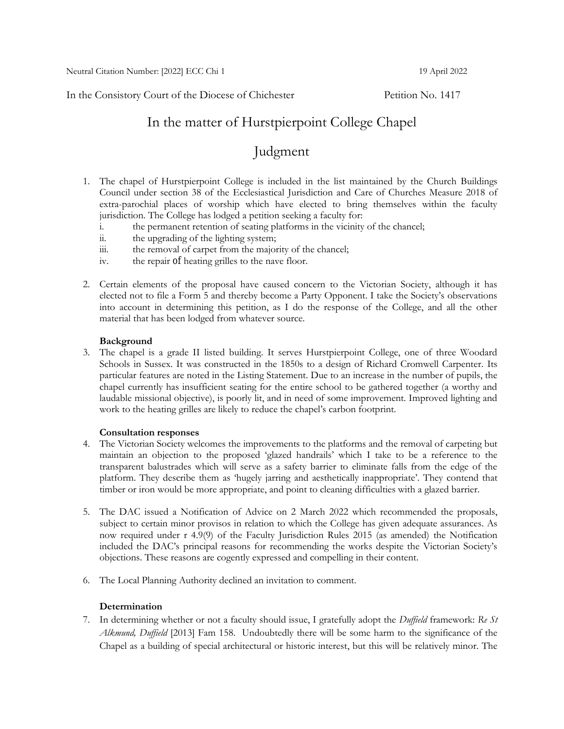In the Consistory Court of the Diocese of Chichester Petition No. 1417

## In the matter of Hurstpierpoint College Chapel

# Judgment

- 1. The chapel of Hurstpierpoint College is included in the list maintained by the Church Buildings Council under section 38 of the Ecclesiastical Jurisdiction and Care of Churches Measure 2018 of extra-parochial places of worship which have elected to bring themselves within the faculty jurisdiction. The College has lodged a petition seeking a faculty for:
	- i. the permanent retention of seating platforms in the vicinity of the chancel;
	- ii. the upgrading of the lighting system;
	- iii. the removal of carpet from the majority of the chancel;
	- iv. the repair of heating grilles to the nave floor.
- 2. Certain elements of the proposal have caused concern to the Victorian Society, although it has elected not to file a Form 5 and thereby become a Party Opponent. I take the Society's observations into account in determining this petition, as I do the response of the College, and all the other material that has been lodged from whatever source.

### **Background**

3. The chapel is a grade II listed building. It serves Hurstpierpoint College, one of three Woodard Schools in Sussex. It was constructed in the 1850s to a design of Richard Cromwell Carpenter. Its particular features are noted in the Listing Statement. Due to an increase in the number of pupils, the chapel currently has insufficient seating for the entire school to be gathered together (a worthy and laudable missional objective), is poorly lit, and in need of some improvement. Improved lighting and work to the heating grilles are likely to reduce the chapel's carbon footprint.

#### **Consultation responses**

- 4. The Victorian Society welcomes the improvements to the platforms and the removal of carpeting but maintain an objection to the proposed 'glazed handrails' which I take to be a reference to the transparent balustrades which will serve as a safety barrier to eliminate falls from the edge of the platform. They describe them as 'hugely jarring and aesthetically inappropriate'. They contend that timber or iron would be more appropriate, and point to cleaning difficulties with a glazed barrier.
- 5. The DAC issued a Notification of Advice on 2 March 2022 which recommended the proposals, subject to certain minor provisos in relation to which the College has given adequate assurances. As now required under r 4.9(9) of the Faculty Jurisdiction Rules 2015 (as amended) the Notification included the DAC's principal reasons for recommending the works despite the Victorian Society's objections. These reasons are cogently expressed and compelling in their content.
- 6. The Local Planning Authority declined an invitation to comment.

#### **Determination**

7. In determining whether or not a faculty should issue, I gratefully adopt the *Duffield* framework: *Re St Alkmund, Duffield* [2013] Fam 158. Undoubtedly there will be some harm to the significance of the Chapel as a building of special architectural or historic interest, but this will be relatively minor. The